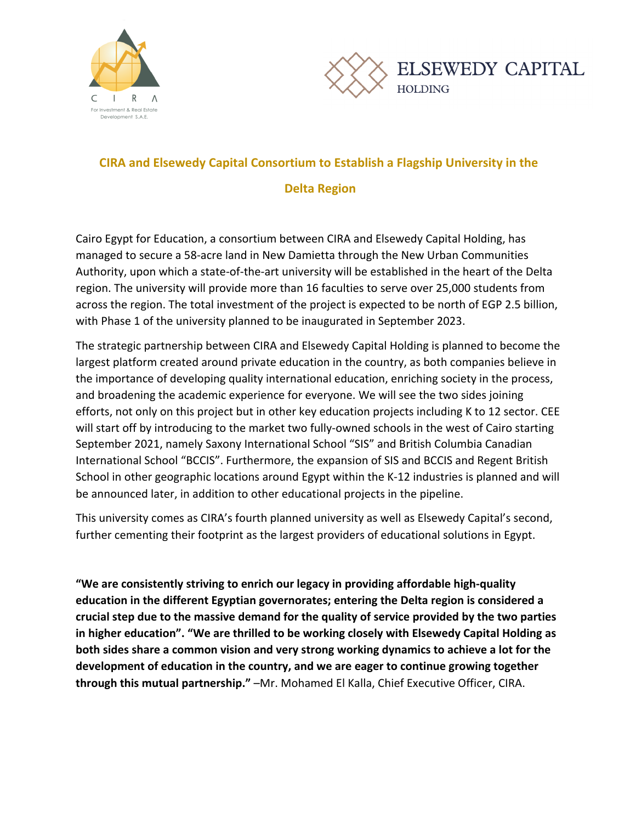



## **CIRA and Elsewedy Capital Consortium to Establish a Flagship University in the**

## **Delta Region**

Cairo Egypt for Education, a consortium between CIRA and Elsewedy Capital Holding, has managed to secure a 58-acre land in New Damietta through the New Urban Communities Authority, upon which a state-of-the-art university will be established in the heart of the Delta region. The university will provide more than 16 faculties to serve over 25,000 students from across the region. The total investment of the project is expected to be north of EGP 2.5 billion, with Phase 1 of the university planned to be inaugurated in September 2023.

The strategic partnership between CIRA and Elsewedy Capital Holding is planned to become the largest platform created around private education in the country, as both companies believe in the importance of developing quality international education, enriching society in the process, and broadening the academic experience for everyone. We will see the two sides joining efforts, not only on this project but in other key education projects including K to 12 sector. CEE will start off by introducing to the market two fully-owned schools in the west of Cairo starting September 2021, namely Saxony International School "SIS" and British Columbia Canadian International School "BCCIS". Furthermore, the expansion of SIS and BCCIS and Regent British School in other geographic locations around Egypt within the K-12 industries is planned and will be announced later, in addition to other educational projects in the pipeline.

This university comes as CIRA's fourth planned university as well as Elsewedy Capital's second, further cementing their footprint as the largest providers of educational solutions in Egypt.

**"We are consistently striving to enrich our legacy in providing affordable high-quality** education in the different Egyptian governorates; entering the Delta region is considered a crucial step due to the massive demand for the quality of service provided by the two parties in higher education". "We are thrilled to be working closely with Elsewedy Capital Holding as **both sides share a common vision and very strong working dynamics to achieve a lot for the development of education in the country, and we are eager to continue growing together through this mutual partnership."** –Mr. Mohamed El Kalla, Chief Executive Officer, CIRA.